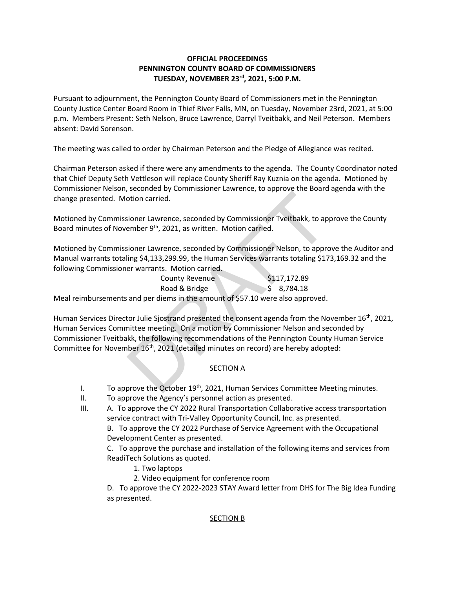# **OFFICIAL PROCEEDINGS PENNINGTON COUNTY BOARD OF COMMISSIONERS TUESDAY, NOVEMBER 23rd , 2021, 5:00 P.M.**

Pursuant to adjournment, the Pennington County Board of Commissioners met in the Pennington County Justice Center Board Room in Thief River Falls, MN, on Tuesday, November 23rd, 2021, at 5:00 p.m. Members Present: Seth Nelson, Bruce Lawrence, Darryl Tveitbakk, and Neil Peterson. Members absent: David Sorenson.

The meeting was called to order by Chairman Peterson and the Pledge of Allegiance was recited.

Chairman Peterson asked if there were any amendments to the agenda. The County Coordinator noted that Chief Deputy Seth Vettleson will replace County Sheriff Ray Kuznia on the agenda. Motioned by Commissioner Nelson, seconded by Commissioner Lawrence, to approve the Board agenda with the change presented. Motion carried.

Motioned by Commissioner Lawrence, seconded by Commissioner Tveitbakk, to approve the County Board minutes of November 9<sup>th</sup>, 2021, as written. Motion carried.

Motioned by Commissioner Lawrence, seconded by Commissioner Nelson, to approve the Auditor and Manual warrants totaling \$4,133,299.99, the Human Services warrants totaling \$173,169.32 and the following Commissioner warrants. Motion carried.

County Revenue \$117,172.89 Road & Bridge  $\frac{1}{5}$  8,784.18 Meal reimbursements and per diems in the amount of \$57.10 were also approved.

Human Services Director Julie Sjostrand presented the consent agenda from the November  $16<sup>th</sup>$ , 2021, Human Services Committee meeting. On a motion by Commissioner Nelson and seconded by Commissioner Tveitbakk, the following recommendations of the Pennington County Human Service Committee for November 16th, 2021 (detailed minutes on record) are hereby adopted: between terms and properties, the Permitive Maynton Carried.<br>
Sioner Lawrence, seconded by Commissioner Tveitbakk, to apember 9<sup>th</sup>, 2021, as written. Motion carried.<br>
Sioner Lawrence, seconded by Commissioner Nelson, to

# **SECTION A**

- I. To approve the October  $19<sup>th</sup>$ , 2021, Human Services Committee Meeting minutes.
- II. To approve the Agency's personnel action as presented.
- III. A. To approve the CY 2022 Rural Transportation Collaborative access transportation service contract with Tri-Valley Opportunity Council, Inc. as presented. B. To approve the CY 2022 Purchase of Service Agreement with the Occupational

Development Center as presented.

C. To approve the purchase and installation of the following items and services from ReadiTech Solutions as quoted.

- 1. Two laptops
- 2. Video equipment for conference room

D. To approve the CY 2022-2023 STAY Award letter from DHS for The Big Idea Funding as presented.

# SECTION B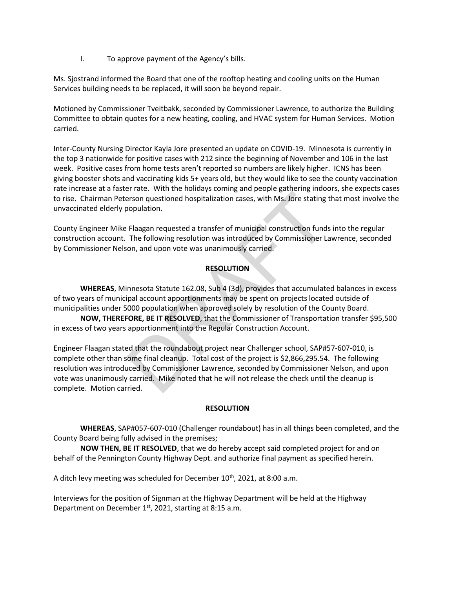I. To approve payment of the Agency's bills.

Ms. Sjostrand informed the Board that one of the rooftop heating and cooling units on the Human Services building needs to be replaced, it will soon be beyond repair.

Motioned by Commissioner Tveitbakk, seconded by Commissioner Lawrence, to authorize the Building Committee to obtain quotes for a new heating, cooling, and HVAC system for Human Services. Motion carried.

Inter-County Nursing Director Kayla Jore presented an update on COVID-19. Minnesota is currently in the top 3 nationwide for positive cases with 212 since the beginning of November and 106 in the last week. Positive cases from home tests aren't reported so numbers are likely higher. ICNS has been giving booster shots and vaccinating kids 5+ years old, but they would like to see the county vaccination rate increase at a faster rate. With the holidays coming and people gathering indoors, she expects cases to rise. Chairman Peterson questioned hospitalization cases, with Ms. Jore stating that most involve the unvaccinated elderly population.

County Engineer Mike Flaagan requested a transfer of municipal construction funds into the regular construction account. The following resolution was introduced by Commissioner Lawrence, seconded by Commissioner Nelson, and upon vote was unanimously carried.

## **RESOLUTION**

**WHEREAS**, Minnesota Statute 162.08, Sub 4 (3d), provides that accumulated balances in excess of two years of municipal account apportionments may be spent on projects located outside of municipalities under 5000 population when approved solely by resolution of the County Board.

**NOW, THEREFORE, BE IT RESOLVED**, that the Commissioner of Transportation transfer \$95,500 in excess of two years apportionment into the Regular Construction Account.

Engineer Flaagan stated that the roundabout project near Challenger school, SAP#57-607-010, is complete other than some final cleanup. Total cost of the project is \$2,866,295.54. The following resolution was introduced by Commissioner Lawrence, seconded by Commissioner Nelson, and upon vote was unanimously carried. Mike noted that he will not release the check until the cleanup is complete. Motion carried. Frison questioned hospitalization cases, with Ms. Jore stating the<br>prison questioned hospitalization cases, with Ms. Jore stating to<br>population.<br>Flaagan requested a transfer of municipal construction funds<br>The following re

### **RESOLUTION**

**WHEREAS**, SAP#057-607-010 (Challenger roundabout) has in all things been completed, and the County Board being fully advised in the premises;

**NOW THEN, BE IT RESOLVED**, that we do hereby accept said completed project for and on behalf of the Pennington County Highway Dept. and authorize final payment as specified herein.

A ditch levy meeting was scheduled for December 10<sup>th</sup>, 2021, at 8:00 a.m.

Interviews for the position of Signman at the Highway Department will be held at the Highway Department on December 1st, 2021, starting at 8:15 a.m.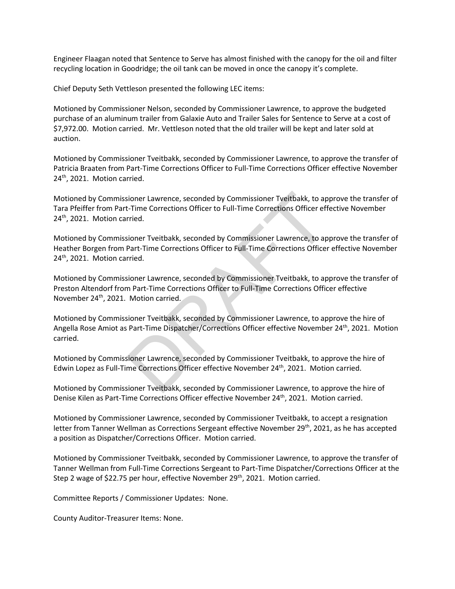Engineer Flaagan noted that Sentence to Serve has almost finished with the canopy for the oil and filter recycling location in Goodridge; the oil tank can be moved in once the canopy it's complete.

Chief Deputy Seth Vettleson presented the following LEC items:

Motioned by Commissioner Nelson, seconded by Commissioner Lawrence, to approve the budgeted purchase of an aluminum trailer from Galaxie Auto and Trailer Sales for Sentence to Serve at a cost of \$7,972.00. Motion carried. Mr. Vettleson noted that the old trailer will be kept and later sold at auction.

Motioned by Commissioner Tveitbakk, seconded by Commissioner Lawrence, to approve the transfer of Patricia Braaten from Part-Time Corrections Officer to Full-Time Corrections Officer effective November  $24<sup>th</sup>$ , 2021. Motion carried.

Motioned by Commissioner Lawrence, seconded by Commissioner Tveitbakk, to approve the transfer of Tara Pfeiffer from Part-Time Corrections Officer to Full-Time Corrections Officer effective November 24<sup>th</sup>, 2021. Motion carried.

Motioned by Commissioner Tveitbakk, seconded by Commissioner Lawrence, to approve the transfer of Heather Borgen from Part-Time Corrections Officer to Full-Time Corrections Officer effective November 24<sup>th</sup>, 2021. Motion carried.

Motioned by Commissioner Lawrence, seconded by Commissioner Tveitbakk, to approve the transfer of Preston Altendorf from Part-Time Corrections Officer to Full-Time Corrections Officer effective November 24th, 2021. Motion carried. isoner Lawrence, seconded by Commissioner Tveitbakk, to apthenometric Corrections Officer to Full-Time Corrections Officer efformed.<br>
Figure Tried.<br>
Sioner Tveitbakk, seconded by Commissioner Lawrence, to aptar-Time Correc

Motioned by Commissioner Tveitbakk, seconded by Commissioner Lawrence, to approve the hire of Angella Rose Amiot as Part-Time Dispatcher/Corrections Officer effective November 24<sup>th</sup>, 2021. Motion carried.

Motioned by Commissioner Lawrence, seconded by Commissioner Tveitbakk, to approve the hire of Edwin Lopez as Full-Time Corrections Officer effective November 24<sup>th</sup>, 2021. Motion carried.

Motioned by Commissioner Tveitbakk, seconded by Commissioner Lawrence, to approve the hire of Denise Kilen as Part-Time Corrections Officer effective November 24th, 2021. Motion carried.

Motioned by Commissioner Lawrence, seconded by Commissioner Tveitbakk, to accept a resignation letter from Tanner Wellman as Corrections Sergeant effective November 29<sup>th</sup>, 2021, as he has accepted a position as Dispatcher/Corrections Officer. Motion carried.

Motioned by Commissioner Tveitbakk, seconded by Commissioner Lawrence, to approve the transfer of Tanner Wellman from Full-Time Corrections Sergeant to Part-Time Dispatcher/Corrections Officer at the Step 2 wage of \$22.75 per hour, effective November 29<sup>th</sup>, 2021. Motion carried.

Committee Reports / Commissioner Updates: None.

County Auditor-Treasurer Items: None.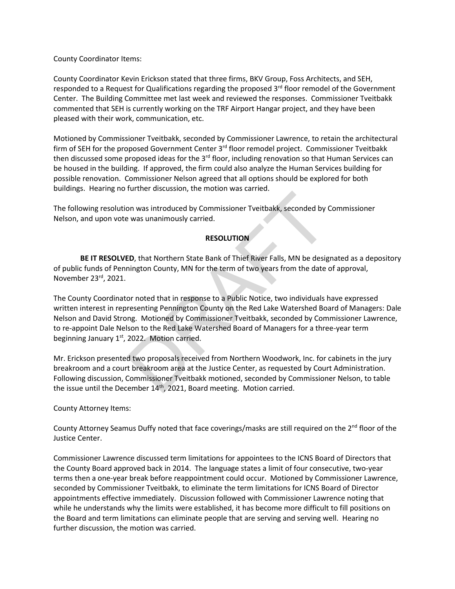County Coordinator Items:

County Coordinator Kevin Erickson stated that three firms, BKV Group, Foss Architects, and SEH, responded to a Request for Qualifications regarding the proposed 3<sup>rd</sup> floor remodel of the Government Center. The Building Committee met last week and reviewed the responses. Commissioner Tveitbakk commented that SEH is currently working on the TRF Airport Hangar project, and they have been pleased with their work, communication, etc.

Motioned by Commissioner Tveitbakk, seconded by Commissioner Lawrence, to retain the architectural firm of SEH for the proposed Government Center 3<sup>rd</sup> floor remodel project. Commissioner Tveitbakk then discussed some proposed ideas for the 3<sup>rd</sup> floor, including renovation so that Human Services can be housed in the building. If approved, the firm could also analyze the Human Services building for possible renovation. Commissioner Nelson agreed that all options should be explored for both buildings. Hearing no further discussion, the motion was carried.

The following resolution was introduced by Commissioner Tveitbakk, seconded by Commissioner Nelson, and upon vote was unanimously carried.

### **RESOLUTION**

**BE IT RESOLVED**, that Northern State Bank of Thief River Falls, MN be designated as a depository of public funds of Pennington County, MN for the term of two years from the date of approval, November 23rd, 2021.

The County Coordinator noted that in response to a Public Notice, two individuals have expressed written interest in representing Pennington County on the Red Lake Watershed Board of Managers: Dale Nelson and David Strong. Motioned by Commissioner Tveitbakk, seconded by Commissioner Lawrence, to re-appoint Dale Nelson to the Red Lake Watershed Board of Managers for a three-year term beginning January  $1<sup>st</sup>$ , 2022. Motion carried. now was introduced by Commissioner Tveitbakk, seconded by the was unanimously carried.<br> **RESOLUTION**<br> **RESOLUTION**<br> **ED, that Northern State Bank of Thief River Falls, MN be designington County, MN for the term of two year** 

Mr. Erickson presented two proposals received from Northern Woodwork, Inc. for cabinets in the jury breakroom and a court breakroom area at the Justice Center, as requested by Court Administration. Following discussion, Commissioner Tveitbakk motioned, seconded by Commissioner Nelson, to table the issue until the December  $14<sup>th</sup>$ , 2021, Board meeting. Motion carried.

County Attorney Items:

County Attorney Seamus Duffy noted that face coverings/masks are still required on the 2<sup>nd</sup> floor of the Justice Center.

Commissioner Lawrence discussed term limitations for appointees to the ICNS Board of Directors that the County Board approved back in 2014. The language states a limit of four consecutive, two-year terms then a one-year break before reappointment could occur. Motioned by Commissioner Lawrence, seconded by Commissioner Tveitbakk, to eliminate the term limitations for ICNS Board of Director appointments effective immediately. Discussion followed with Commissioner Lawrence noting that while he understands why the limits were established, it has become more difficult to fill positions on the Board and term limitations can eliminate people that are serving and serving well. Hearing no further discussion, the motion was carried.